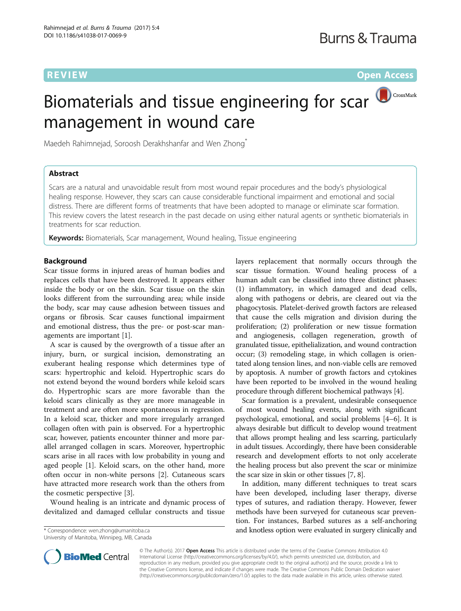**REVIEW CONSTRUCTION CONSTRUCTS CONSTRUCTS** 

# Biomaterials and tissue engineering for scar **D**CrossMark management in wound care

Maedeh Rahimnejad, Soroosh Derakhshanfar and Wen Zhong<sup>\*</sup>

# Abstract

Scars are a natural and unavoidable result from most wound repair procedures and the body's physiological healing response. However, they scars can cause considerable functional impairment and emotional and social distress. There are different forms of treatments that have been adopted to manage or eliminate scar formation. This review covers the latest research in the past decade on using either natural agents or synthetic biomaterials in treatments for scar reduction.

**Keywords:** Biomaterials, Scar management, Wound healing, Tissue engineering

# Background

Scar tissue forms in injured areas of human bodies and replaces cells that have been destroyed. It appears either inside the body or on the skin. Scar tissue on the skin looks different from the surrounding area; while inside the body, scar may cause adhesion between tissues and organs or fibrosis. Scar causes functional impairment and emotional distress, thus the pre- or post-scar managements are important [[1\]](#page-6-0).

A scar is caused by the overgrowth of a tissue after an injury, burn, or surgical incision, demonstrating an exuberant healing response which determines type of scars: hypertrophic and keloid. Hypertrophic scars do not extend beyond the wound borders while keloid scars do. Hypertrophic scars are more favorable than the keloid scars clinically as they are more manageable in treatment and are often more spontaneous in regression. In a keloid scar, thicker and more irregularly arranged collagen often with pain is observed. For a hypertrophic scar, however, patients encounter thinner and more parallel arranged collagen in scars. Moreover, hypertrophic scars arise in all races with low probability in young and aged people [[1\]](#page-6-0). Keloid scars, on the other hand, more often occur in non-white persons [[2\]](#page-6-0). Cutaneous scars have attracted more research work than the others from the cosmetic perspective [[3](#page-6-0)].

Wound healing is an intricate and dynamic process of devitalized and damaged cellular constructs and tissue

University of Manitoba, Winnipeg, MB, Canada

layers replacement that normally occurs through the scar tissue formation. Wound healing process of a human adult can be classified into three distinct phases: (1) inflammatory, in which damaged and dead cells, along with pathogens or debris, are cleared out via the phagocytosis. Platelet-derived growth factors are released that cause the cells migration and division during the proliferation; (2) proliferation or new tissue formation and angiogenesis, collagen regeneration, growth of granulated tissue, epithelialization, and wound contraction occur; (3) remodeling stage, in which collagen is orientated along tension lines, and non-viable cells are removed by apoptosis. A number of growth factors and cytokines have been reported to be involved in the wound healing procedure through different biochemical pathways [\[4\]](#page-6-0).

Scar formation is a prevalent, undesirable consequence of most wound healing events, along with significant psychological, emotional, and social problems [\[4](#page-6-0)–[6\]](#page-6-0). It is always desirable but difficult to develop wound treatment that allows prompt healing and less scarring, particularly in adult tissues. Accordingly, there have been considerable research and development efforts to not only accelerate the healing process but also prevent the scar or minimize the scar size in skin or other tissues [\[7](#page-6-0), [8\]](#page-6-0).

In addition, many different techniques to treat scars have been developed, including laser therapy, diverse types of sutures, and radiation therapy. However, fewer methods have been surveyed for cutaneous scar prevention. For instances, Barbed sutures as a self-anchoring \* Correspondence: [wen.zhong@umanitoba.ca](mailto:wen.zhong@umanitoba.ca) and knotless option were evaluated in surgery clinically and



© The Author(s). 2017 **Open Access** This article is distributed under the terms of the Creative Commons Attribution 4.0 International License [\(http://creativecommons.org/licenses/by/4.0/](http://creativecommons.org/licenses/by/4.0/)), which permits unrestricted use, distribution, and reproduction in any medium, provided you give appropriate credit to the original author(s) and the source, provide a link to the Creative Commons license, and indicate if changes were made. The Creative Commons Public Domain Dedication waiver [\(http://creativecommons.org/publicdomain/zero/1.0/](http://creativecommons.org/publicdomain/zero/1.0/)) applies to the data made available in this article, unless otherwise stated.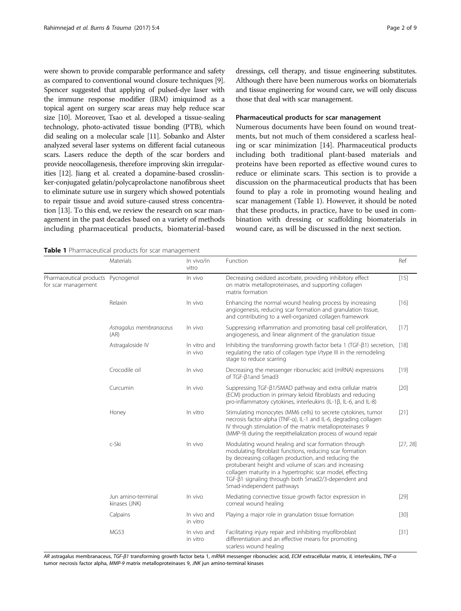were shown to provide comparable performance and safety as compared to conventional wound closure techniques [[9](#page-6-0)]. Spencer suggested that applying of pulsed-dye laser with the immune response modifier (IRM) imiquimod as a topical agent on surgery scar areas may help reduce scar size [\[10\]](#page-6-0). Moreover, Tsao et al. developed a tissue-sealing technology, photo-activated tissue bonding (PTB), which did sealing on a molecular scale [\[11\]](#page-6-0). Sobanko and Alster analyzed several laser systems on different facial cutaneous scars. Lasers reduce the depth of the scar borders and provide neocollagenesis, therefore improving skin irregularities [\[12\]](#page-6-0). Jiang et al. created a dopamine-based crosslinker-conjugated gelatin/polycaprolactone nanofibrous sheet to eliminate suture use in surgery which showed potentials to repair tissue and avoid suture-caused stress concentration [\[13\]](#page-6-0). To this end, we review the research on scar management in the past decades based on a variety of methods including pharmaceutical products, biomaterial-based

dressings, cell therapy, and tissue engineering substitutes. Although there have been numerous works on biomaterials and tissue engineering for wound care, we will only discuss those that deal with scar management.

# Pharmaceutical products for scar management

Numerous documents have been found on wound treatments, but not much of them considered a scarless healing or scar minimization [[14](#page-6-0)]. Pharmaceutical products including both traditional plant-based materials and proteins have been reported as effective wound cures to reduce or eliminate scars. This section is to provide a discussion on the pharmaceutical products that has been found to play a role in promoting wound healing and scar management (Table 1). However, it should be noted that these products, in practice, have to be used in combination with dressing or scaffolding biomaterials in wound care, as will be discussed in the next section.

Table 1 Pharmaceutical products for scar management

|                                                           | Materials                           | In vivo/in<br>vitro     | Function                                                                                                                                                                                                                                                                                                                                                                                         | Ref      |
|-----------------------------------------------------------|-------------------------------------|-------------------------|--------------------------------------------------------------------------------------------------------------------------------------------------------------------------------------------------------------------------------------------------------------------------------------------------------------------------------------------------------------------------------------------------|----------|
| Pharmaceutical products Pycnogenol<br>for scar management |                                     | In vivo                 | Decreasing oxidized ascorbate, providing inhibitory effect<br>on matrix metalloproteinases, and supporting collagen<br>matrix formation                                                                                                                                                                                                                                                          |          |
|                                                           | Relaxin                             | In vivo                 | Enhancing the normal wound healing process by increasing<br>angiogenesis, reducing scar formation and granulation tissue,<br>and contributing to a well-organized collagen framework                                                                                                                                                                                                             | $[16]$   |
|                                                           | Astragalus membranaceus<br>(AR)     | In vivo                 | Suppressing inflammation and promoting basal cell proliferation,<br>angiogenesis, and linear alignment of the granulation tissue                                                                                                                                                                                                                                                                 | [17]     |
|                                                           | Astragaloside IV                    | In vitro and<br>in vivo | Inhibiting the transforming growth factor beta 1 ( $TGF-\beta1$ ) secretion, [18]<br>regulating the ratio of collagen type I/type III in the remodeling<br>stage to reduce scarring                                                                                                                                                                                                              |          |
|                                                           | Crocodile oil                       | In vivo                 | Decreasing the messenger ribonucleic acid (mRNA) expressions<br>of TGF-ß1and Smad3                                                                                                                                                                                                                                                                                                               | $[19]$   |
|                                                           | Curcumin                            | In vivo                 | Suppressing TGF-β1/SMAD pathway and extra cellular matrix<br>(ECM) production in primary keloid fibroblasts and reducing<br>pro-inflammatory cytokines, interleukins (IL-1β, IL-6, and IL-8)                                                                                                                                                                                                     | [20]     |
|                                                           | Honey                               | In vitro                | Stimulating monocytes (MM6 cells) to secrete cytokines, tumor<br>necrosis factor-alpha (TNF-a), IL-1 and IL-6, degrading collagen<br>IV through stimulation of the matrix metalloproteinases 9<br>(MMP-9) during the reepithelialization process of wound repair                                                                                                                                 | $[21]$   |
|                                                           | c-Ski                               | In vivo                 | Modulating wound healing and scar formation through<br>modulating fibroblast functions, reducing scar formation<br>by decreasing collagen production, and reducing the<br>protuberant height and volume of scars and increasing<br>collagen maturity in a hypertrophic scar model, effecting<br>TGF- $\tilde{\beta}$ 1 signaling through both Smad2/3-dependent and<br>Smad-independent pathways | [27, 28] |
|                                                           | Jun amino-terminal<br>kinases (JNK) | In vivo                 | Mediating connective tissue growth factor expression in<br>corneal wound healing                                                                                                                                                                                                                                                                                                                 | $[29]$   |
|                                                           | Calpains                            | In vivo and<br>in vitro | Playing a major role in granulation tissue formation                                                                                                                                                                                                                                                                                                                                             | $[30]$   |
|                                                           | <b>MG53</b>                         | In vivo and<br>in vitro | Facilitating injury repair and inhibiting myofibroblast<br>differentiation and an effective means for promoting<br>scarless wound healing                                                                                                                                                                                                                                                        | $[31]$   |

AR astragalus membranaceus, TGF-β1 transforming growth factor beta 1, mRNA messenger ribonucleic acid, ECM extracellular matrix, IL interleukins, TNF-α tumor necrosis factor alpha, MMP-9 matrix metalloproteinases 9, JNK jun amino-terminal kinases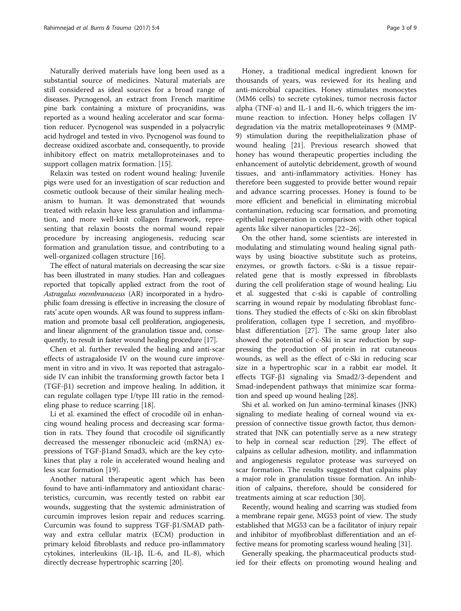Naturally derived materials have long been used as a substantial source of medicines. Natural materials are still considered as ideal sources for a broad range of diseases. Pycnogenol, an extract from French maritime pine bark containing a mixture of procyanidins, was reported as a wound healing accelerator and scar formation reducer. Pycnogenol was suspended in a polyacrylic acid hydrogel and tested in vivo. Pycnogenol was found to decrease oxidized ascorbate and, consequently, to provide inhibitory effect on matrix metalloproteinases and to support collagen matrix formation. [[15\]](#page-7-0).

Relaxin was tested on rodent wound healing: Juvenile pigs were used for an investigation of scar reduction and cosmetic outlook because of their similar healing mechanism to human. It was demonstrated that wounds treated with relaxin have less granulation and inflammation, and more well-knit collagen framework, representing that relaxin boosts the normal wound repair procedure by increasing angiogenesis, reducing scar formation and granulation tissue, and contributing to a well-organized collagen structure [[16\]](#page-7-0).

The effect of natural materials on decreasing the scar size has been illustrated in many studies. Han and colleagues reported that topically applied extract from the root of Astragalus membranaceus (AR) incorporated in a hydrophilic foam dressing is effective in increasing the closure of rats' acute open wounds. AR was found to suppress inflammation and promote basal cell proliferation, angiogenesis, and linear alignment of the granulation tissue and, consequently, to result in faster wound healing procedure [[17](#page-7-0)].

Chen et al. further revealed the healing and anti-scar effects of astragaloside IV on the wound cure improvement in vitro and in vivo. It was reported that astragaloside IV can inhibit the transforming growth factor beta 1 (TGF-β1) secretion and improve healing. In addition, it can regulate collagen type I/type III ratio in the remodeling phase to reduce scarring [[18\]](#page-7-0).

Li et al. examined the effect of crocodile oil in enhancing wound healing process and decreasing scar formation in rats. They found that crocodile oil significantly decreased the messenger ribonucleic acid (mRNA) expressions of TGF-β1and Smad3, which are the key cytokines that play a role in accelerated wound healing and less scar formation [[19\]](#page-7-0).

Another natural therapeutic agent which has been found to have anti-inflammatory and antioxidant characteristics, curcumin, was recently tested on rabbit ear wounds, suggesting that the systemic administration of curcumin improves lesion repair and reduces scarring. Curcumin was found to suppress TGF-β1/SMAD pathway and extra cellular matrix (ECM) production in primary keloid fibroblasts and reduce pro-inflammatory cytokines, interleukins (IL-1β, IL-6, and IL-8), which directly decrease hypertrophic scarring [\[20\]](#page-7-0).

Honey, a traditional medical ingredient known for thousands of years, was reviewed for its healing and anti-microbial capacities. Honey stimulates monocytes (MM6 cells) to secrete cytokines, tumor necrosis factor alpha (TNF- $\alpha$ ) and IL-1 and IL-6, which triggers the immune reaction to infection. Honey helps collagen IV degradation via the matrix metalloproteinases 9 (MMP-9) stimulation during the reepithelialization phase of wound healing [\[21](#page-7-0)]. Previous research showed that honey has wound therapeutic properties including the enhancement of autolytic debridement, growth of wound tissues, and anti-inflammatory activities. Honey has therefore been suggested to provide better wound repair and advance scarring processes. Honey is found to be more efficient and beneficial in eliminating microbial contamination, reducing scar formation, and promoting epithelial regeneration in comparison with other topical agents like silver nanoparticles [\[22](#page-7-0)–[26\]](#page-7-0).

On the other hand, some scientists are interested in modulating and stimulating wound healing signal pathways by using bioactive substitute such as proteins, enzymes, or growth factors. c-Ski is a tissue repairrelated gene that is mostly expressed in fibroblasts during the cell proliferation stage of wound healing; Liu et al. suggested that c-ski is capable of controlling scarring in wound repair by modulating fibroblast functions. They studied the effects of c-Ski on skin fibroblast proliferation, collagen type I secretion, and myofibroblast differentiation [\[27](#page-7-0)]. The same group later also showed the potential of c-Ski in scar reduction by suppressing the production of protein in rat cutaneous wounds, as well as the effect of c-Ski in reducing scar size in a hypertrophic scar in a rabbit ear model. It effects TGF-β1 signaling via Smad2/3-dependent and Smad-independent pathways that minimize scar formation and speed up wound healing [[28](#page-7-0)].

Shi et al. worked on Jun amino-terminal kinases (JNK) signaling to mediate healing of corneal wound via expression of connective tissue growth factor, thus demonstrated that JNK can potentially serve as a new strategy to help in corneal scar reduction [\[29](#page-7-0)]. The effect of calpains as cellular adhesion, motility, and inflammation and angiogenesis regulator protease was surveyed on scar formation. The results suggested that calpains play a major role in granulation tissue formation. An inhibition of calpains, therefore, should be considered for treatments aiming at scar reduction [\[30](#page-7-0)].

Recently, wound healing and scarring was studied from a membrane repair gene, MG53 point of view. The study established that MG53 can be a facilitator of injury repair and inhibitor of myofibroblast differentiation and an effective means for promoting scarless wound healing [[31](#page-7-0)].

Generally speaking, the pharmaceutical products studied for their effects on promoting wound healing and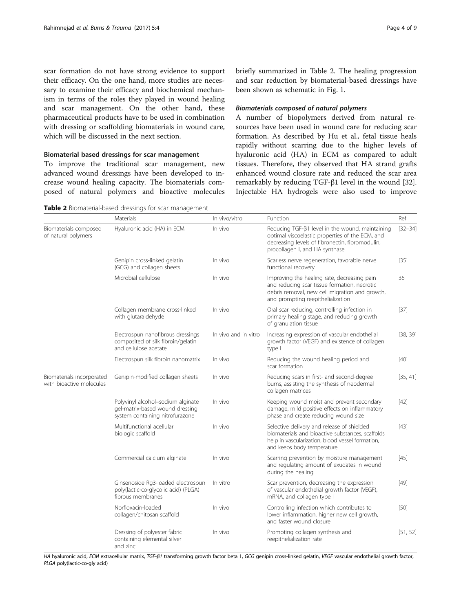scar formation do not have strong evidence to support their efficacy. On the one hand, more studies are necessary to examine their efficacy and biochemical mechanism in terms of the roles they played in wound healing and scar management. On the other hand, these pharmaceutical products have to be used in combination with dressing or scaffolding biomaterials in wound care, which will be discussed in the next section.

## Biomaterial based dressings for scar management

To improve the traditional scar management, new advanced wound dressings have been developed to increase wound healing capacity. The biomaterials composed of natural polymers and bioactive molecules

Table 2 Biomaterial-based dressings for scar management

briefly summarized in Table 2. The healing progression and scar reduction by biomaterial-based dressings have been shown as schematic in Fig. [1](#page-4-0).

## Biomaterials composed of natural polymers

A number of biopolymers derived from natural resources have been used in wound care for reducing scar formation. As described by Hu et al., fetal tissue heals rapidly without scarring due to the higher levels of hyaluronic acid (HA) in ECM as compared to adult tissues. Therefore, they observed that HA strand grafts enhanced wound closure rate and reduced the scar area remarkably by reducing TGF-β1 level in the wound [\[32](#page-7-0)]. Injectable HA hydrogels were also used to improve

|                                                       | Materials                                                                                               | In vivo/vitro        | Function                                                                                                                                                                                | Ref         |
|-------------------------------------------------------|---------------------------------------------------------------------------------------------------------|----------------------|-----------------------------------------------------------------------------------------------------------------------------------------------------------------------------------------|-------------|
| Biomaterials composed<br>of natural polymers          | Hyaluronic acid (HA) in ECM                                                                             | In vivo              | Reducing TGF-ß1 level in the wound, maintaining<br>optimal viscoelastic properties of the ECM, and<br>decreasing levels of fibronectin, fibromodulin,<br>procollagen I, and HA synthase | $[32 - 34]$ |
|                                                       | Genipin cross-linked gelatin<br>(GCG) and collagen sheets                                               | In vivo              | Scarless nerve regeneration, favorable nerve<br>functional recovery                                                                                                                     | $[35]$      |
|                                                       | Microbial cellulose                                                                                     | In vivo              | Improving the healing rate, decreasing pain<br>and reducing scar tissue formation, necrotic<br>debris removal, new cell migration and growth,<br>and prompting reepithelialization      | 36          |
|                                                       | Collagen membrane cross-linked<br>with glutaraldehyde                                                   | In vivo              | Oral scar reducing, controlling infection in<br>primary healing stage, and reducing growth<br>of granulation tissue                                                                     | $[37]$      |
|                                                       | Electrospun nanofibrous dressings<br>composited of silk fibroin/gelatin<br>and cellulose acetate        | In vivo and in vitro | Increasing expression of vascular endothelial<br>growth factor (VEGF) and existence of collagen<br>type I                                                                               | [38, 39]    |
|                                                       | Electrospun silk fibroin nanomatrix                                                                     | In vivo              | Reducing the wound healing period and<br>scar formation                                                                                                                                 | $[40]$      |
| Biomaterials incorporated<br>with bioactive molecules | Genipin-modified collagen sheets                                                                        | In vivo              | Reducing scars in first- and second-degree<br>burns, assisting the synthesis of neodermal<br>collagen matrices                                                                          | [35, 41]    |
|                                                       | Polyvinyl alcohol-sodium alginate<br>gel-matrix-based wound dressing<br>system containing nitrofurazone | In vivo              | Keeping wound moist and prevent secondary<br>damage, mild positive effects on inflammatory<br>phase and create reducing wound size                                                      | $[42]$      |
|                                                       | Multifunctional acellular<br>biologic scaffold                                                          | In vivo              | Selective delivery and release of shielded<br>biomaterials and bioactive substances, scaffolds<br>help in vascularization, blood vessel formation,<br>and keeps body temperature        | $[43]$      |
|                                                       | Commercial calcium alginate                                                                             | In vivo              | Scarring prevention by moisture management<br>and regulating amount of exudates in wound<br>during the healing                                                                          | $[45]$      |
|                                                       | Ginsenoside Rg3-loaded electrospun<br>poly(lactic-co-glycolic acid) (PLGA)<br>fibrous membranes         | In vitro             | Scar prevention, decreasing the expression<br>of vascular endothelial growth factor (VEGF),<br>mRNA, and collagen type I                                                                | $[49]$      |
|                                                       | Norfloxacin-loaded<br>collagen/chitosan scaffold                                                        | In vivo              | Controlling infection which contributes to<br>lower inflammation, higher new cell growth,<br>and faster wound closure                                                                   | $[50]$      |
|                                                       | Dressing of polyester fabric<br>containing elemental silver<br>and zinc                                 | In vivo              | Promoting collagen synthesis and<br>reepithelialization rate                                                                                                                            | [51, 52]    |

HA hyaluronic acid, ECM extracellular matrix, TGF-β1 transforming growth factor beta 1, GCG genipin cross-linked gelatin, VEGF vascular endothelial growth factor, PLGA poly(lactic-co-gly acid)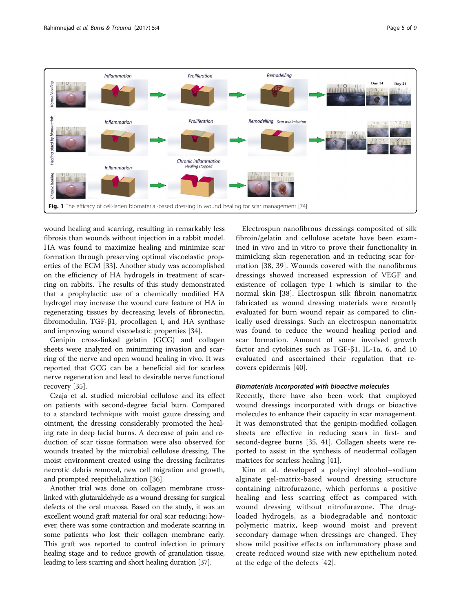<span id="page-4-0"></span>

wound healing and scarring, resulting in remarkably less fibrosis than wounds without injection in a rabbit model. HA was found to maximize healing and minimize scar formation through preserving optimal viscoelastic properties of the ECM [\[33](#page-7-0)]. Another study was accomplished on the efficiency of HA hydrogels in treatment of scarring on rabbits. The results of this study demonstrated that a prophylactic use of a chemically modified HA hydrogel may increase the wound cure feature of HA in regenerating tissues by decreasing levels of fibronectin, fibromodulin, TGF-β1, procollagen I, and HA synthase and improving wound viscoelastic properties [\[34](#page-7-0)].

Genipin cross-linked gelatin (GCG) and collagen sheets were analyzed on minimizing invasion and scarring of the nerve and open wound healing in vivo. It was reported that GCG can be a beneficial aid for scarless nerve regeneration and lead to desirable nerve functional recovery [\[35](#page-7-0)].

Czaja et al. studied microbial cellulose and its effect on patients with second-degree facial burn. Compared to a standard technique with moist gauze dressing and ointment, the dressing considerably promoted the healing rate in deep facial burns. A decrease of pain and reduction of scar tissue formation were also observed for wounds treated by the microbial cellulose dressing. The moist environment created using the dressing facilitates necrotic debris removal, new cell migration and growth, and prompted reepithelialization [[36\]](#page-7-0).

Another trial was done on collagen membrane crosslinked with glutaraldehyde as a wound dressing for surgical defects of the oral mucosa. Based on the study, it was an excellent wound graft material for oral scar reducing; however, there was some contraction and moderate scarring in some patients who lost their collagen membrane early. This graft was reported to control infection in primary healing stage and to reduce growth of granulation tissue, leading to less scarring and short healing duration [[37](#page-7-0)].

Electrospun nanofibrous dressings composited of silk fibroin/gelatin and cellulose acetate have been examined in vivo and in vitro to prove their functionality in mimicking skin regeneration and in reducing scar formation [[38, 39\]](#page-7-0). Wounds covered with the nanofibrous dressings showed increased expression of VEGF and existence of collagen type I which is similar to the normal skin [\[38](#page-7-0)]. Electrospun silk fibroin nanomatrix fabricated as wound dressing materials were recently evaluated for burn wound repair as compared to clinically used dressings. Such an electrospun nanomatrix was found to reduce the wound healing period and scar formation. Amount of some involved growth factor and cytokines such as TGF-β1, IL-1α, 6, and 10 evaluated and ascertained their regulation that recovers epidermis [[40](#page-7-0)].

### Biomaterials incorporated with bioactive molecules

Recently, there have also been work that employed wound dressings incorporated with drugs or bioactive molecules to enhance their capacity in scar management. It was demonstrated that the genipin-modified collagen sheets are effective in reducing scars in first- and second-degree burns [\[35](#page-7-0), [41\]](#page-7-0). Collagen sheets were reported to assist in the synthesis of neodermal collagen matrices for scarless healing [[41\]](#page-7-0).

Kim et al. developed a polyvinyl alcohol–sodium alginate gel-matrix-based wound dressing structure containing nitrofurazone, which performs a positive healing and less scarring effect as compared with wound dressing without nitrofurazone. The drugloaded hydrogels, as a biodegradable and nontoxic polymeric matrix, keep wound moist and prevent secondary damage when dressings are changed. They show mild positive effects on inflammatory phase and create reduced wound size with new epithelium noted at the edge of the defects [[42](#page-7-0)].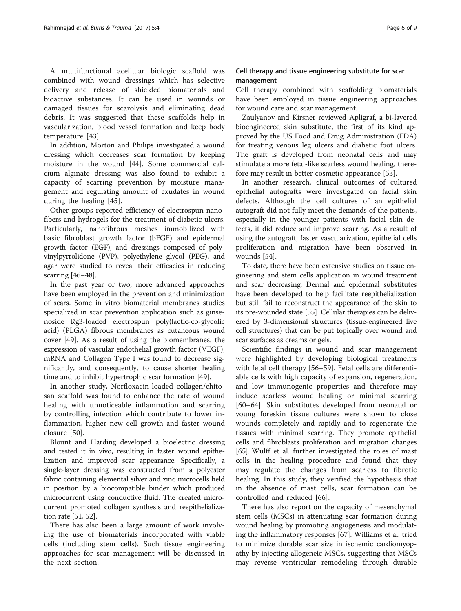A multifunctional acellular biologic scaffold was combined with wound dressings which has selective delivery and release of shielded biomaterials and bioactive substances. It can be used in wounds or damaged tissues for scarolysis and eliminating dead debris. It was suggested that these scaffolds help in vascularization, blood vessel formation and keep body temperature [[43\]](#page-7-0).

In addition, Morton and Philips investigated a wound dressing which decreases scar formation by keeping moisture in the wound [\[44](#page-7-0)]. Some commercial calcium alginate dressing was also found to exhibit a capacity of scarring prevention by moisture management and regulating amount of exudates in wound during the healing [\[45](#page-7-0)].

Other groups reported efficiency of electrospun nanofibers and hydrogels for the treatment of diabetic ulcers. Particularly, nanofibrous meshes immobilized with basic fibroblast growth factor (bFGF) and epidermal growth factor (EGF), and dressings composed of polyvinylpyrrolidone (PVP), polyethylene glycol (PEG), and agar were studied to reveal their efficacies in reducing scarring [\[46](#page-7-0)–[48](#page-7-0)].

In the past year or two, more advanced approaches have been employed in the prevention and minimization of scars. Some in vitro biomaterial membranes studies specialized in scar prevention application such as ginsenoside Rg3-loaded electrospun poly(lactic-co-glycolic acid) (PLGA) fibrous membranes as cutaneous wound cover [\[49\]](#page-7-0). As a result of using the biomembranes, the expression of vascular endothelial growth factor (VEGF), mRNA and Collagen Type I was found to decrease significantly, and consequently, to cause shorter healing time and to inhibit hypertrophic scar formation [[49\]](#page-7-0).

In another study, Norfloxacin-loaded collagen/chitosan scaffold was found to enhance the rate of wound healing with unnoticeable inflammation and scarring by controlling infection which contribute to lower inflammation, higher new cell growth and faster wound closure [[50\]](#page-7-0).

Blount and Harding developed a bioelectric dressing and tested it in vivo, resulting in faster wound epithelization and improved scar appearance. Specifically, a single-layer dressing was constructed from a polyester fabric containing elemental silver and zinc microcells held in position by a biocompatible binder which produced microcurrent using conductive fluid. The created microcurrent promoted collagen synthesis and reepithelialization rate [\[51, 52](#page-7-0)].

There has also been a large amount of work involving the use of biomaterials incorporated with viable cells (including stem cells). Such tissue engineering approaches for scar management will be discussed in the next section.

# Cell therapy and tissue engineering substitute for scar management

Cell therapy combined with scaffolding biomaterials have been employed in tissue engineering approaches for wound care and scar management.

Zaulyanov and Kirsner reviewed Apligraf, a bi-layered bioengineered skin substitute, the first of its kind approved by the US Food and Drug Administration (FDA) for treating venous leg ulcers and diabetic foot ulcers. The graft is developed from neonatal cells and may stimulate a more fetal-like scarless wound healing, therefore may result in better cosmetic appearance [\[53](#page-7-0)].

In another research, clinical outcomes of cultured epithelial autografts were investigated on facial skin defects. Although the cell cultures of an epithelial autograft did not fully meet the demands of the patients, especially in the younger patients with facial skin defects, it did reduce and improve scarring. As a result of using the autograft, faster vascularization, epithelial cells proliferation and migration have been observed in wounds [[54](#page-7-0)].

To date, there have been extensive studies on tissue engineering and stem cells application in wound treatment and scar decreasing. Dermal and epidermal substitutes have been developed to help facilitate reepithelialization but still fail to reconstruct the appearance of the skin to its pre-wounded state [\[55\]](#page-7-0). Cellular therapies can be delivered by 3-dimensional structures (tissue-engineered live cell structures) that can be put topically over wound and scar surfaces as creams or gels.

Scientific findings in wound and scar management were highlighted by developing biological treatments with fetal cell therapy [[56](#page-7-0)–[59](#page-7-0)]. Fetal cells are differentiable cells with high capacity of expansion, regeneration, and low immunogenic properties and therefore may induce scarless wound healing or minimal scarring [[60](#page-7-0)–[64](#page-8-0)]. Skin substitutes developed from neonatal or young foreskin tissue cultures were shown to close wounds completely and rapidly and to regenerate the tissues with minimal scarring. They promote epithelial cells and fibroblasts proliferation and migration changes [[65](#page-8-0)]. Wulff et al. further investigated the roles of mast cells in the healing procedure and found that they may regulate the changes from scarless to fibrotic healing. In this study, they verified the hypothesis that in the absence of mast cells, scar formation can be controlled and reduced [[66\]](#page-8-0).

There has also report on the capacity of mesenchymal stem cells (MSCs) in attenuating scar formation during wound healing by promoting angiogenesis and modulating the inflammatory responses [[67](#page-8-0)]. Williams et al. tried to minimize durable scar size in ischemic cardiomyopathy by injecting allogeneic MSCs, suggesting that MSCs may reverse ventricular remodeling through durable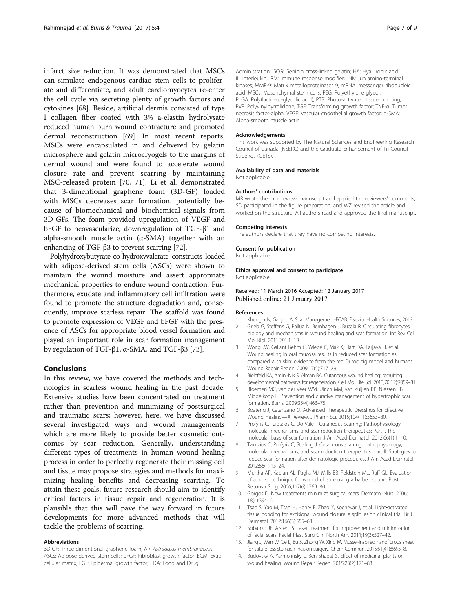<span id="page-6-0"></span>infarct size reduction. It was demonstrated that MSCs can simulate endogenous cardiac stem cells to proliferate and differentiate, and adult cardiomyocytes re-enter the cell cycle via secreting plenty of growth factors and cytokines [[68](#page-8-0)]. Beside, artificial dermis consisted of type I collagen fiber coated with 3% a-elastin hydrolysate reduced human burn wound contracture and promoted dermal reconstruction [[69\]](#page-8-0). In most recent reports, MSCs were encapsulated in and delivered by gelatin microsphere and gelatin microcryogels to the margins of dermal wound and were found to accelerate wound closure rate and prevent scarring by maintaining MSC-released protein [[70, 71](#page-8-0)]. Li et al. demonstrated that 3-dimentional graphene foam (3D-GF) loaded with MSCs decreases scar formation, potentially because of biomechanical and biochemical signals from 3D-GFs. The foam provided upregulation of VEGF and bFGF to neovascularize, downregulation of TGF-β1 and alpha-smooth muscle actin (α-SMA) together with an enhancing of TGF-β3 to prevent scarring [\[72\]](#page-8-0).

Polyhydroxybutyrate-co-hydroxyvalerate constructs loaded with adipose-derived stem cells (ASCs) were shown to maintain the wound moisture and assert appropriate mechanical properties to endure wound contraction. Furthermore, exudate and inflammatory cell infiltration were found to promote the structure degradation and, consequently, improve scarless repair. The scaffold was found to promote expression of VEGF and bFGF with the presence of ASCs for appropriate blood vessel formation and played an important role in scar formation management by regulation of TGF-β1, α-SMA, and TGF-β3 [\[73](#page-8-0)].

# Conclusions

In this review, we have covered the methods and technologies in scarless wound healing in the past decade. Extensive studies have been concentrated on treatment rather than prevention and minimizing of postsurgical and traumatic scars; however, here, we have discussed several investigated ways and wound managements which are more likely to provide better cosmetic outcomes by scar reduction. Generally, understanding different types of treatments in human wound healing process in order to perfectly regenerate their missing cell and tissue may propose strategies and methods for maximizing healing benefits and decreasing scarring. To attain these goals, future research should aim to identify critical factors in tissue repair and regeneration. It is plausible that this will pave the way forward in future developments for more advanced methods that will tackle the problems of scarring.

#### Abbreviations

3D-GF: Three-dimentional graphene foam; AR: Astragalus membranaceus; ASCs: Adipose-derived stem cells; bFGF: Fibroblast growth factor; ECM: Extra cellular matrix; EGF: Epidermal growth factor; FDA: Food and Drug

Administration; GCG: Genipin cross-linked gelatin; HA: Hyaluronic acid; IL: Interleukin; IRM: Immune response modifier; JNK: Jun amino-terminal kinases; MMP-9: Matrix metalloproteinases 9; mRNA: messenger ribonucleic acid; MSCs: Mesenchymal stem cells; PEG: Polyethylene glycol; PLGA: Poly(lactic-co-glycolic acid); PTB: Photo-activated tissue bonding; PVP: Polyvinylpyrrolidone; TGF: Transforming growth factor; TNF-α: Tumor necrosis factor-alpha; VEGF: Vascular endothelial growth factor; α-SMA: Alpha-smooth muscle actin

#### Acknowledgements

This work was supported by The Natural Sciences and Engineering Research Council of Canada (NSERC) and the Graduate Enhancement of Tri-Council Stipends (GFTS).

#### Availability of data and materials

Not applicable.

#### Authors' contributions

MR wrote the mini review manuscript and applied the reviewers' comments, SD participated in the figure preparation, and WZ revised the article and worked on the structure. All authors read and approved the final manuscript.

#### Competing interests

The authors declare that they have no competing interests.

#### Consent for publication

Not applicable.

# Ethics approval and consent to participate

Not applicable.

Received: 11 March 2016 Accepted: 12 January 2017 Published online: 21 January 2017

#### References

- 1. Khunger N, Ganjoo A. Scar Management-ECAB: Elsevier Health Sciences; 2013.
- 2. Grieb G, Steffens G, Pallua N, Bernhagen J, Bucala R. Circulating fibrocytes–
- biology and mechanisms in wound healing and scar formation. Int Rev Cell Mol Biol. 2011;291:1–19.
- 3. Wong JW, Gallant-Behm C, Wiebe C, Mak K, Hart DA, Larjava H, et al. Wound healing in oral mucosa results in reduced scar formation as compared with skin: evidence from the red Duroc pig model and humans. Wound Repair Regen. 2009;17(5):717–29.
- 4. Bielefeld KA, Amini-Nik S, Alman BA. Cutaneous wound healing: recruiting developmental pathways for regeneration. Cell Mol Life Sci. 2013;70(12):2059–81.
- 5. Bloemen MC, van der Veer WM, Ulrich MM, van Zuijlen PP, Niessen FB, Middelkoop E. Prevention and curative management of hypertrophic scar formation. Burns. 2009;35(4):463–75.
- 6. Boateng J, Catanzano O. Advanced Therapeutic Dressings for Effective Wound Healing—A Review. J Pharm Sci. 2015;104(11):3653–80.
- 7. Profyris C, Tziotzios C, Do Vale I. Cutaneous scarring: Pathophysiology, molecular mechanisms, and scar reduction therapeutics: Part I. The molecular basis of scar formation. J Am Acad Dermatol. 2012;66(1):1–10.
- 8. Tziotzios C, Profyris C, Sterling J. Cutaneous scarring: pathophysiology, molecular mechanisms, and scar reduction therapeutics: part II. Strategies to reduce scar formation after dermatologic procedures. J Am Acad Dermatol. 2012;66(1):13–24.
- 9. Murtha AP, Kaplan AL, Paglia MJ, Mills BB, Feldstein ML, Ruff GL. Evaluation of a novel technique for wound closure using a barbed suture. Plast Reconstr Surg. 2006;117(6):1769–80.
- 10. Gorgos D. New treatments minimize surgical scars. Dermatol Nurs. 2006; 18(4):394–6.
- 11. Tsao S, Yao M, Tsao H, Henry F, Zhao Y, Kochevar J, et al. Light-activated tissue bonding for excisional wound closure: a split‐lesion clinical trial. Br J Dermatol. 2012;166(3):555–63.
- 12. Sobanko JF, Alster TS. Laser treatment for improvement and minimization of facial scars. Facial Plast Surg Clin North Am. 2011;19(3):527–42.
- 13. Jiang J, Wan W, Ge L, Bu S, Zhong W, Xing M. Mussel-inspired nanofibrous sheet for suture-less stomach incision surgery. Chem Commun. 2015;51(41):8695–8.
- 14. Budovsky A, Yarmolinsky L, Ben-Shabat S. Effect of medicinal plants on wound healing. Wound Repair Regen. 2015;23(2):171–83.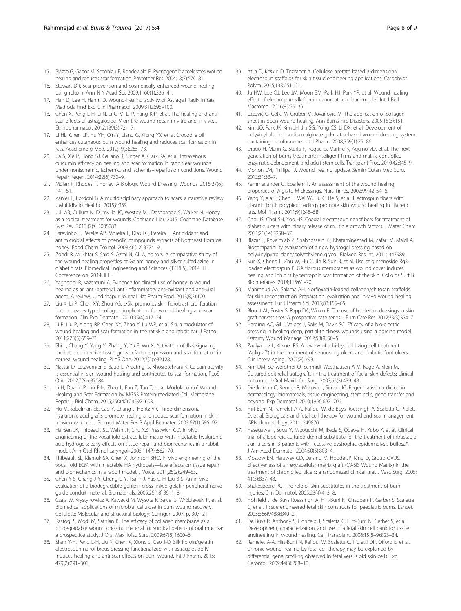- <span id="page-7-0"></span>15. Blazso G, Gabor M, Schönlau F, Rohdewald P. Pycnogenol® accelerates wound healing and reduces scar formation. Phytother Res. 2004;18(7):579–81.
- 16. Stewart DR. Scar prevention and cosmetically enhanced wound healing using relaxin. Ann N Y Acad Sci. 2009;1160(1):336–41.
- 17. Han D, Lee H, Hahm D. Wound-healing activity of Astragali Radix in rats. Methods Find Exp Clin Pharmacol. 2009;31(2):95–100.
- 18. Chen X, Peng L-H, Li N, Li Q-M, Li P, Fung K-P, et al. The healing and antiscar effects of astragaloside IV on the wound repair in vitro and in vivo. J Ethnopharmacol. 2012;139(3):721–7.
- 19. Li HL, Chen LP, Hu YH, Qin Y, Liang G, Xiong YX, et al. Crocodile oil enhances cutaneous burn wound healing and reduces scar formation in rats. Acad Emerg Med. 2012;19(3):265–73.
- 20. Jia S, Xie P, Hong SJ, Galiano R, Singer A, Clark RA, et al. Intravenous curcumin efficacy on healing and scar formation in rabbit ear wounds under nonischemic, ischemic, and ischemia–reperfusion conditions. Wound Repair Regen. 2014;22(6):730–9.
- 21. Molan P, Rhodes T. Honey: A Biologic Wound Dressing. Wounds. 2015;27(6): 141–51.
- 22. Zanier E, Bordoni B. A multidisciplinary approach to scars: a narrative review. J Multidiscip Healthc. 2015;8:359.
- 23. Jull AB, Cullum N, Dumville JC, Westby MJ, Deshpande S, Walker N. Honey as a topical treatment for wounds. Cochrane Libr. 2015. Cochrane Database Syst Rev. 2013;(2):CD005083.
- 24. Estevinho L, Pereira AP, Moreira L, Dias LG, Pereira E. Antioxidant and antimicrobial effects of phenolic compounds extracts of Northeast Portugal honey. Food Chem Toxicol. 2008;46(12):3774–9.
- 25. Zohdi R, Mukhtar S, Said S, Azmi N, Ali A, editors. A comparative study of the wound healing properties of Gelam honey and silver sulfadiazine in diabetic rats. Biomedical Engineering and Sciences (IECBES), 2014 IEEE Conference on; 2014: IEEE.
- 26. Yaghoobi R, Kazerouni A. Evidence for clinical use of honey in wound healing as an anti-bacterial, anti-inflammatory anti-oxidant and anti-viral agent: A review. Jundishapur Journal Nat Pharm Prod. 2013;8(3):100.
- 27. Liu X, Li P, Chen XY, Zhou YG. c-Ski promotes skin fibroblast proliferation but decreases type I collagen: implications for wound healing and scar formation. Clin Exp Dermatol. 2010;35(4):417–24.
- 28. Li P, Liu P, Xiong RP, Chen XY, Zhao Y, Lu WP, et al. Ski, a modulator of wound healing and scar formation in the rat skin and rabbit ear. J Pathol. 2011;223(5):659–71.
- 29. Shi L, Chang Y, Yang Y, Zhang Y, Yu F, Wu X. Activation of JNK signaling mediates connective tissue growth factor expression and scar formation in corneal wound healing. PLoS One. 2012;7(2):e32128.
- 30. Nassar D, Letavernier E, Baud L, Aractingi S, Khosrotehrani K. Calpain activity is essential in skin wound healing and contributes to scar formation. PLoS One. 2012;7(5):e37084.
- 31. Li H, Duann P, Lin P-H, Zhao L, Fan Z, Tan T, et al. Modulation of Wound Healing and Scar Formation by MG53 Protein-mediated Cell Membrane Repair. J Biol Chem. 2015;290(40):24592–603.
- 32. Hu M, Sabelman EE, Cao Y, Chang J, Hentz VR. Three-dimensional hyaluronic acid grafts promote healing and reduce scar formation in skin incision wounds. J Biomed Mater Res B Appl Biomater. 2003;67(1):586–92.
- 33. Hansen JK, Thibeault SL, Walsh JF, Shu XZ, Prestwich GD. In vivo engineering of the vocal fold extracellular matrix with injectable hyaluronic acid hydrogels: early effects on tissue repair and biomechanics in a rabbit model. Ann Otol Rhinol Laryngol. 2005;114(9):662–70.
- 34. Thibeault SL, Klemuk SA, Chen X, Johnson BHQ. In vivo engineering of the vocal fold ECM with injectable HA hydrogels—late effects on tissue repair and biomechanics in a rabbit model. J Voice. 2011;25(2):249–53.
- 35. Chen Y-S, Chang J-Y, Cheng C-Y, Tsai F-J, Yao C-H, Liu B-S. An in vivo evaluation of a biodegradable genipin-cross-linked gelatin peripheral nerve guide conduit material. Biomaterials. 2005;26(18):3911–8.
- 36. Czaja W, Krystynowicz A, Kawecki M, Wysota K, Sakiel S, Wróblewski P, et al. Biomedical applications of microbial cellulose in burn wound recovery. Cellulose: Molecular and structural biology: Springer; 2007. p. 307–21.
- 37. Rastogi S, Modi M, Sathian B. The efficacy of collagen membrane as a biodegradable wound dressing material for surgical defects of oral mucosa: a prospective study. J Oral Maxillofac Surg. 2009;67(8):1600–6.
- 38. Shan Y-H, Peng L-H, Liu X, Chen X, Xiong J, Gao J-Q. Silk fibroin/gelatin electrospun nanofibrous dressing functionalized with astragaloside IV induces healing and anti-scar effects on burn wound. Int J Pharm. 2015; 479(2):291–301.
- 39. Atila D, Keskin D, Tezcaner A. Cellulose acetate based 3-dimensional electrospun scaffolds for skin tissue engineering applications. Carbohydr Polym. 2015;133:251–61.
- 40. Ju HW, Lee OJ, Lee JM, Moon BM, Park HJ, Park YR, et al. Wound healing effect of electrospun silk fibroin nanomatrix in burn-model. Int J Biol Macromol. 2016;85:29–39.
- 41. Lazovic G, Colic M, Grubor M, Jovanovic M. The application of collagen sheet in open wound healing. Ann Burns Fire Disasters. 2005;18(3):151.
- 42. Kim JO, Park JK, Kim JH, Jin SG, Yong CS, Li DX, et al. Development of polyvinyl alcohol–sodium alginate gel-matrix-based wound dressing system containing nitrofurazone. Int J Pharm. 2008;359(1):79–86.
- 43. Drago H, Marín G, Sturla F, Roque G, Mártire K, Aquino VD, et al. The next generation of burns treatment: intelligent films and matrix, controlled enzymatic debridement, and adult stem cells. Transplant Proc. 2010;42:345–9.
- 44. Morton LM, Phillips TJ. Wound healing update. Semin Cutan Med Surg. 2012;31:33–7.
- 45. Kammerlander G, Eberlein T. An assessment of the wound healing properties of Algisite M dressings. Nurs Times. 2002;99(42):54–6.
- 46. Yang Y, Xia T, Chen F, Wei W, Liu C, He S, et al. Electrospun fibers with plasmid bFGF polyplex loadings promote skin wound healing in diabetic rats. Mol Pharm. 2011;9(1):48–58.
- 47. Choi JS, Choi SH, Yoo HS. Coaxial electrospun nanofibers for treatment of diabetic ulcers with binary release of multiple growth factors. J Mater Chem. 2011;21(14):5258–67.
- 48. Biazar E, Roveimiab Z, Shahhosseini G, Khataminezhad M, Zafari M, Majdi A. Biocompatibility evaluation of a new hydrogel dressing based on polyvinylpyrrolidone/polyethylene glycol. BioMed Res Int. 2011: 343989.
- 49. Sun X, Cheng L, Zhu W, Hu C, Jin R, Sun B, et al. Use of ginsenoside Rg3 loaded electrospun PLGA fibrous membranes as wound cover induces healing and inhibits hypertrophic scar formation of the skin. Colloids Surf B: Biointerfaces. 2014;115:61–70.
- 50. Mahmoud AA, Salama AH. Norfloxacin-loaded collagen/chitosan scaffolds for skin reconstruction: Preparation, evaluation and in-vivo wound healing assessment. Eur J Pharm Sci. 2015;83:155–65.
- 51. Blount AL, Foster S, Rapp DA, Wilcox R. The use of bioelectric dressings in skin graft harvest sites: A prospective case series. J Burn Care Res. 2012;33(3):354–7.
- 52. Harding AC, Gil J, Valdes J, Solis M, Davis SC. Efficacy of a bio-electric dressing in healing deep, partial-thickness wounds using a porcine model. Ostomy Wound Manage. 2012;58(9):50–5.
- 53. Zaulyanov L, Kirsner RS. A review of a bi-layered living cell treatment (Apligraf®) in the treatment of venous leg ulcers and diabetic foot ulcers. Clin Interv Aging. 2007;2(1):93.
- 54. Kim DM, Schwerdtner O, Schmidt-Westhausen A-M, Kage A, Klein M. Cultured epithelial autografts in the treatment of facial skin defects: clinical outcome. J Oral Maxillofac Surg. 2007;65(3):439–43.
- 55. Dieckmann C, Renner R, Milkova L, Simon JC. Regenerative medicine in dermatology: biomaterials, tissue engineering, stem cells, gene transfer and beyond. Exp Dermatol. 2010;19(8):697–706.
- 56. Hirt-Burri N, Ramelet A-A, Raffoul W, de Buys Roessingh A, Scaletta C, Pioletti D, et al. Biologicals and fetal cell therapy for wound and scar management. ISRN dermatology. 2011: 549870.
- 57. Hasegawa T, Suga Y, Mizoguchi M, Ikeda S, Ogawa H, Kubo K, et al. Clinical trial of allogeneic cultured dermal substitute for the treatment of intractable skin ulcers in 3 patients with recessive dystrophic epidermolysis bullosa\*. J Am Acad Dermatol. 2004;50(5):803–4.
- 58. Mostow EN, Haraway GD, Dalsing M, Hodde JP, King D, Group OVUS. Effectiveness of an extracellular matrix graft (OASIS Wound Matrix) in the treatment of chronic leg ulcers: a randomized clinical trial. J Vasc Surg. 2005; 41(5):837–43.
- 59. Shakespeare PG. The role of skin substitutes in the treatment of burn injuries. Clin Dermatol. 2005;23(4):413–8.
- 60. Hohlfeld J, de Buys Roessingh A, Hirt-Burri N, Chaubert P, Gerber S, Scaletta C, et al. Tissue engineered fetal skin constructs for paediatric burns. Lancet. 2005;366(9488):840–2.
- 61. De Buys R, Anthony S, Hohlfeld J, Scaletta C, Hirt-Burri N, Gerber S, et al. Development, characterization, and use of a fetal skin cell bank for tissue engineering in wound healing. Cell Transplant. 2006;15(8–9):823–34.
- 62. Ramelet A-A, Hirt-Burri N, Raffoul W, Scaletta C, Pioletti DP, Offord E, et al. Chronic wound healing by fetal cell therapy may be explained by differential gene profiling observed in fetal versus old skin cells. Exp Gerontol. 2009;44(3):208–18.